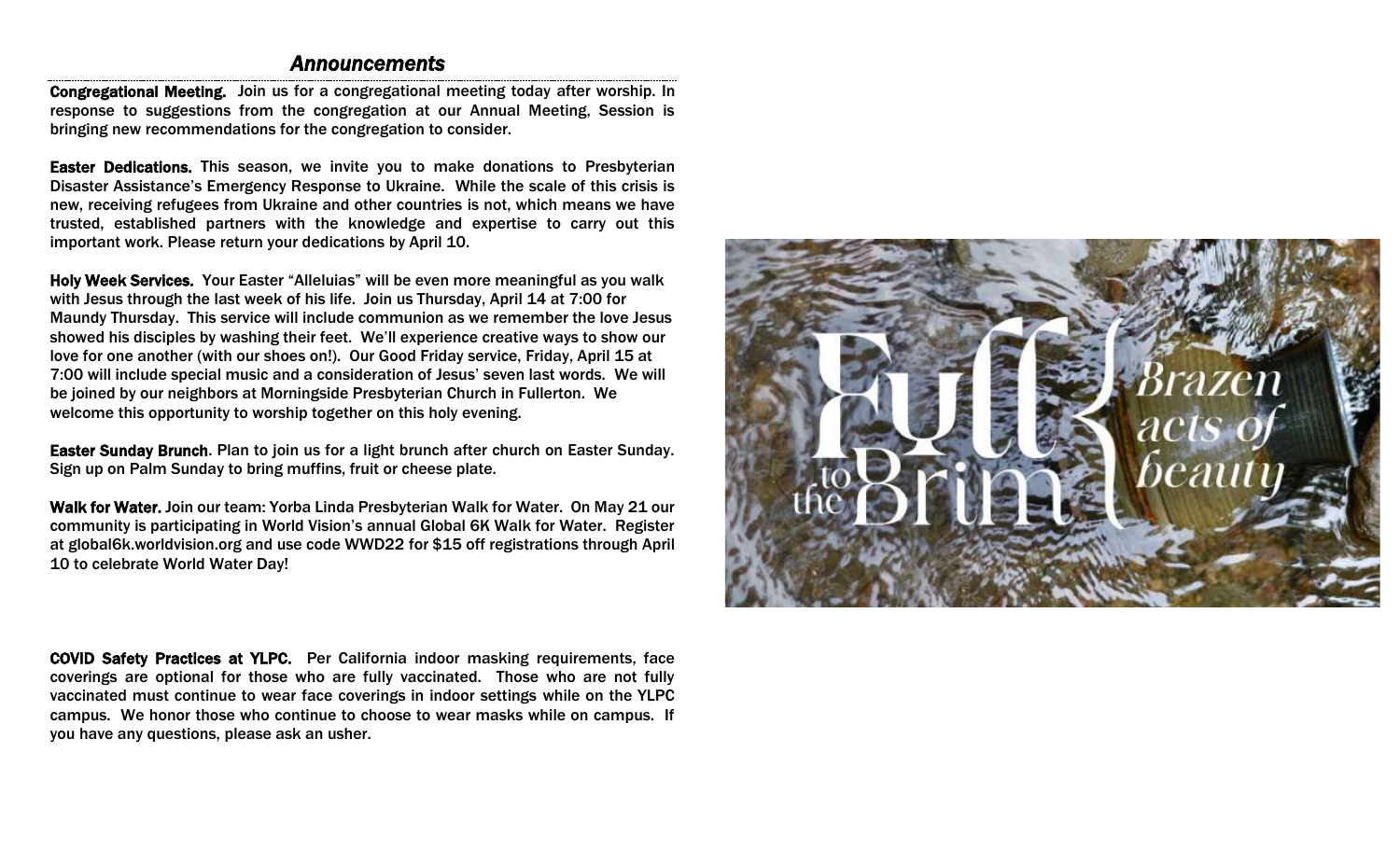# *Announcements*

Congregational Meeting. Join us for a congregational meeting today after worship. In response to suggestions from the congregation at our Annual Meeting, Session is bringing new recommendations for the congregation to consider.

Easter Dedications. This season, we invite you to make donations to Presbyterian Disaster Assistance's Emergency Response to Ukraine. While the scale of this crisis is new, receiving refugees from Ukraine and other countries is not, which means we have trusted, established partners with the knowledge and expertise to carry out this important work. Please return your dedications by April 10.

Holy Week Services. Your Easter "Alleluias" will be even more meaningful as you walk with Jesus through the last week of his life. Join us Thursday, April 14 at 7:00 for Maundy Thursday. This service will include communion as we remember the love Jesus showed his disciples by washing their feet. We'll experience creative ways to show our love for one another (with our shoes on!). Our Good Friday service, Friday, April 15 at 7:00 will include special music and a consideration of Jesus' seven last words. We will be joined by our neighbors at Morningside Presbyterian Church in Fullerton. We welcome this opportunity to worship together on this holy evening.

Easter Sunday Brunch. Plan to join us for a light brunch after church on Easter Sunday. Sign up on Palm Sunday to bring muffins, fruit or cheese plate.

Walk for Water. Join our team: Yorba Linda Presbyterian Walk for Water. On May 21 our community is participating in World Vision's annual Global 6K Walk for Water. Register at global6k.worldvision.org and use code WWD22 for \$15 off registrations through April 10 to celebrate World Water Day!

COVID Safety Practices at YLPC. Per California indoor masking requirements, face coverings are optional for those who are fully vaccinated. Those who are not fully vaccinated must continue to wear face coverings in indoor settings while on the YLPC campus. We honor those who continue to choose to wear masks while on campus. If you have any questions, please ask an usher.

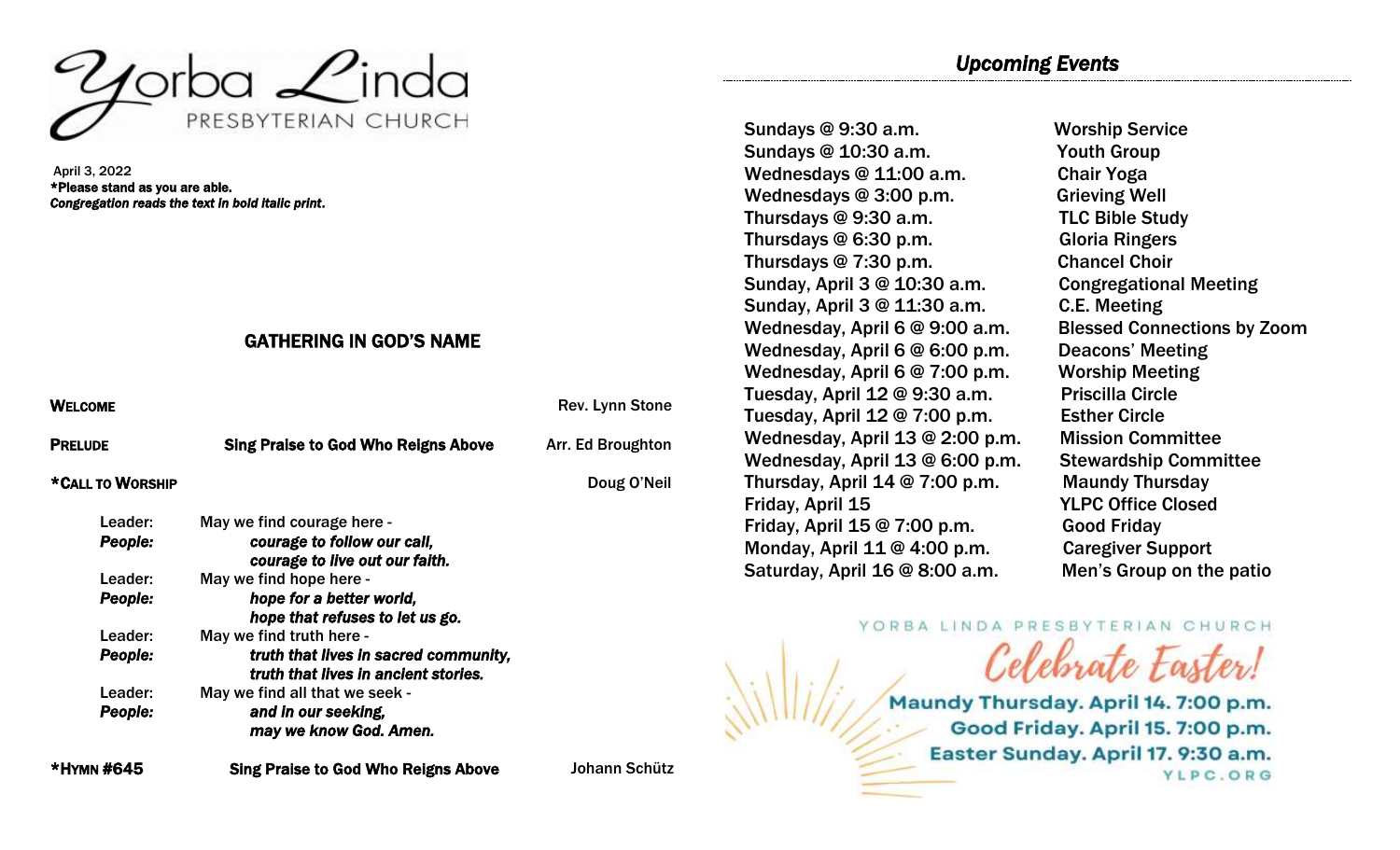

April 3, 2022 \*Please stand as you are able. *Congregation reads the text in bold italic print*.

# GATHERING IN GOD'S NAME

| <b>WELCOME</b>   |                                                                               | Rev. Lynn Stone   |
|------------------|-------------------------------------------------------------------------------|-------------------|
| <b>PRELUDE</b>   | <b>Sing Praise to God Who Reigns Above</b>                                    | Arr. Ed Broughton |
| *CALL TO WORSHIP |                                                                               | Doug O'Neil       |
| Leader:          | May we find courage here -                                                    |                   |
| <b>People:</b>   | courage to follow our call,<br>courage to live out our faith.                 |                   |
| Leader:          | May we find hope here -                                                       |                   |
| <b>People:</b>   | hope for a better world,<br>hope that refuses to let us go.                   |                   |
| Leader:          | May we find truth here -                                                      |                   |
| People:          | truth that lives in sacred community,<br>truth that lives in ancient stories. |                   |
| Leader:          | May we find all that we seek -                                                |                   |
| <b>People:</b>   | and in our seeking,<br>may we know God. Amen.                                 |                   |

\*HYMN #645 Sing Praise to God Who Reigns Above Johann Schütz

Sundays @ 10:30 a.m. Youth Group Wednesdays @ 11:00 a.m. Chair Yoga Wednesdays @ 3:00 p.m. Grieving Well Thursdays @ 9:30 a.m. TLC Bible Study Thursdays @ 6:30 p.m. Gloria Ringers Thursdays @ 7:30 p.m. Chancel Choir Sunday, April 3 @ 10:30 a.m. Congregational Meeting Sunday, April 3 @ 11:30 a.m. C.E. Meeting Wednesday, April 6 @ 9:00 a.m. Blessed Connections by Zoom Wednesday, April 6 @ 6:00 p.m. Deacons' Meeting Wednesday, April 6 @ 7:00 p.m. Worship Meeting Tuesday, April 12 @ 9:30 a.m. Priscilla Circle Tuesday, April 12 @ 7:00 p.m. Esther Circle Wednesday, April 13 @ 2:00 p.m. Mission Committee Wednesday, April 13 @ 6:00 p.m. Stewardship Committee Thursday, April 14 @ 7:00 p.m. Maundy Thursday Friday, April 15 YLPC Office Closed Friday, April 15 @ 7:00 p.m. Good Friday Monday, April 11 @ 4:00 p.m. Caregiver Support Saturday, April 16 @ 8:00 a.m. Men's Group on the patio

Sundays @ 9:30 a.m. Worship Service

YORBA LINDA PRESBYTERIAN CHURCH Celebrate Easter!

Maundy Thursday. April 14. 7:00 p.m. Good Friday. April 15. 7:00 p.m. Easter Sunday. April 17. 9:30 a.m. YLPC.ORG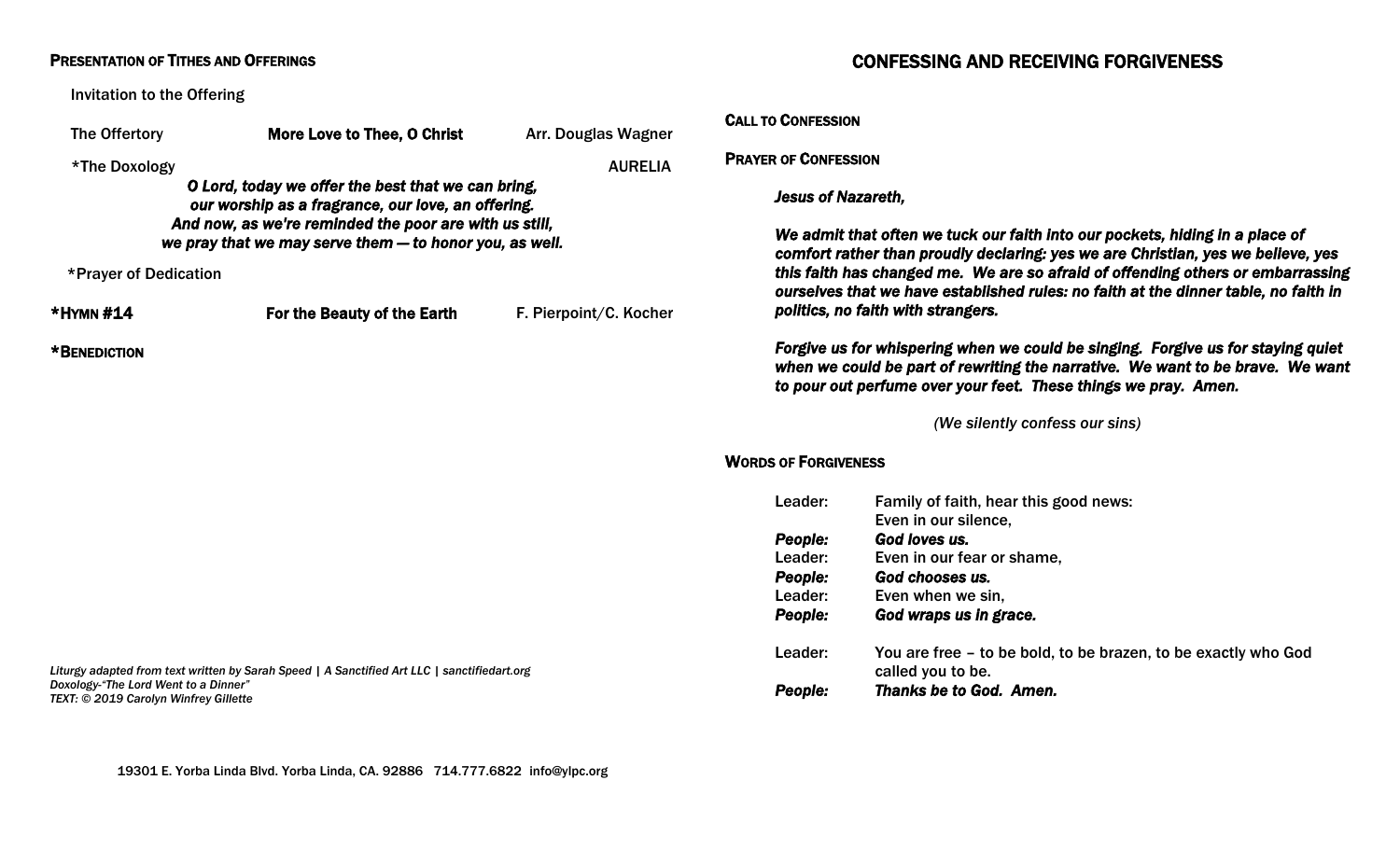#### PRESENTATION OF TITHES AND OFFERINGS

Invitation to the Offering

| The Offertory                         | More Love to Thee, O Christ                                                                                       | Arr. Douglas Wagner    | <b>UALL TO UON</b> |
|---------------------------------------|-------------------------------------------------------------------------------------------------------------------|------------------------|--------------------|
| *The Doxology                         |                                                                                                                   | <b>AURELIA</b>         | <b>PRAYER OF C</b> |
|                                       | O Lord, today we offer the best that we can bring,<br>our worship as a fragrance, our love, an offering.          |                        | <b>Jesus</b>       |
|                                       | And now, as we're reminded the poor are with us still,<br>we pray that we may serve them - to honor you, as well. |                        | We a               |
|                                       |                                                                                                                   |                        | comf               |
| *Prayer of Dedication                 |                                                                                                                   |                        | this f             |
|                                       |                                                                                                                   |                        | <b>OUrse</b>       |
| *HYMN #14                             | For the Beauty of the Earth                                                                                       | F. Pierpoint/C. Kocher | politi             |
| *BENEDICTION                          |                                                                                                                   |                        | Forgi              |
|                                       |                                                                                                                   |                        | wher               |
|                                       |                                                                                                                   |                        | to po              |
|                                       |                                                                                                                   |                        | <b>WORDS OF F</b>  |
|                                       |                                                                                                                   |                        | Lead               |
|                                       |                                                                                                                   |                        | Peop               |
|                                       |                                                                                                                   |                        | Lead               |
|                                       |                                                                                                                   |                        | Peop               |
|                                       |                                                                                                                   |                        | Lead               |
|                                       |                                                                                                                   |                        | Peop               |
|                                       |                                                                                                                   |                        | Lead               |
| Doxology-"The Lord Went to a Dinner"  | Liturgy adapted from text written by Sarah Speed   A Sanctified Art LLC   sanctifiedart.org                       |                        |                    |
| TEXT: © 2019 Carolyn Winfrey Gillette |                                                                                                                   |                        | Peop               |

# CONFESSING AND RECEIVING FORGIVENESS

#### CALL TO CONFESSION

ONFESSION:

*Jesus of Nazareth,* 

*We admit that often we tuck our faith into our pockets, hiding in a place of comfort rather than proudly declaring: yes we are Christian, yes we believe, yes*  faith has changed me. We are so afraid of offending others or embarrassing *dives that we have established rules: no faith at the dinner table, no faith in politics, no faith with strangers.* 

*Forgive us for whispering when we could be singing. Forgive us for staying quiet*  **n** we could be part of rewriting the narrative. We want to be brave. We want *to pour out perfume over your feet. These things we pray. Amen.* 

*(We silently confess our sins)* 

#### **ORGIVENESS**

| Leader:        | Family of faith, hear this good news:<br>Even in our silence,                       |
|----------------|-------------------------------------------------------------------------------------|
| <b>People:</b> | God loves us.                                                                       |
| Leader:        | Even in our fear or shame,                                                          |
| People:        | God chooses us.                                                                     |
| Leader:        | Even when we sin,                                                                   |
| People:        | God wraps us in grace.                                                              |
| Leader:        | You are free – to be bold, to be brazen, to be exactly who God<br>called you to be. |
| <b>People:</b> | Thanks be to God. Amen.                                                             |